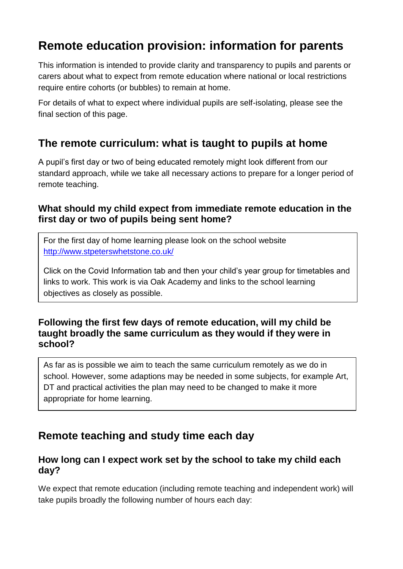# **Remote education provision: information for parents**

This information is intended to provide clarity and transparency to pupils and parents or carers about what to expect from remote education where national or local restrictions require entire cohorts (or bubbles) to remain at home.

For details of what to expect where individual pupils are self-isolating, please see the final section of this page.

# **The remote curriculum: what is taught to pupils at home**

A pupil's first day or two of being educated remotely might look different from our standard approach, while we take all necessary actions to prepare for a longer period of remote teaching.

## **What should my child expect from immediate remote education in the first day or two of pupils being sent home?**

For the first day of home learning please look on the school website <http://www.stpeterswhetstone.co.uk/>

Click on the Covid Information tab and then your child's year group for timetables and links to work. This work is via Oak Academy and links to the school learning objectives as closely as possible.

## **Following the first few days of remote education, will my child be taught broadly the same curriculum as they would if they were in school?**

As far as is possible we aim to teach the same curriculum remotely as we do in school. However, some adaptions may be needed in some subjects, for example Art, DT and practical activities the plan may need to be changed to make it more appropriate for home learning.

# **Remote teaching and study time each day**

## **How long can I expect work set by the school to take my child each day?**

We expect that remote education (including remote teaching and independent work) will take pupils broadly the following number of hours each day: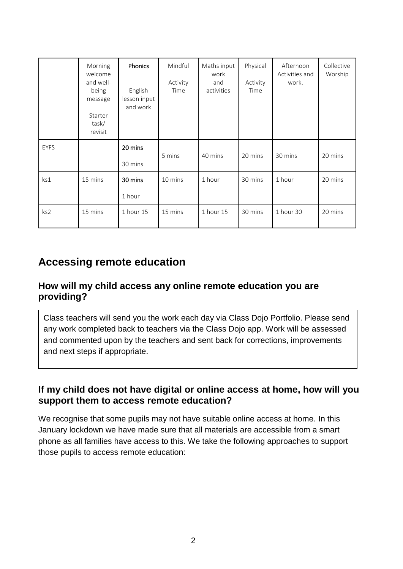|             | Morning<br>welcome<br>and well-<br>being<br>message<br><b>Starter</b><br>task/<br>revisit | Phonics<br>English<br>lesson input<br>and work | Mindful<br>Activity<br>Time | Maths input<br>work<br>and<br>activities | Physical<br>Activity<br>Time | Afternoon<br>Activities and<br>work. | Collective<br>Worship |
|-------------|-------------------------------------------------------------------------------------------|------------------------------------------------|-----------------------------|------------------------------------------|------------------------------|--------------------------------------|-----------------------|
| <b>EYFS</b> |                                                                                           | 20 mins<br>30 mins                             | 5 mins                      | 40 mins                                  | 20 mins                      | 30 mins                              | 20 mins               |
| ks1         | 15 mins                                                                                   | 30 mins<br>1 hour                              | 10 mins                     | 1 hour                                   | 30 mins                      | 1 hour                               | 20 mins               |
| ks2         | 15 mins                                                                                   | 1 hour 15                                      | 15 mins                     | 1 hour 15                                | 30 mins                      | 1 hour 30                            | 20 mins               |

# **Accessing remote education**

## **How will my child access any online remote education you are providing?**

Class teachers will send you the work each day via Class Dojo Portfolio. Please send any work completed back to teachers via the Class Dojo app. Work will be assessed and commented upon by the teachers and sent back for corrections, improvements and next steps if appropriate.

### **If my child does not have digital or online access at home, how will you support them to access remote education?**

We recognise that some pupils may not have suitable online access at home. In this January lockdown we have made sure that all materials are accessible from a smart phone as all families have access to this. We take the following approaches to support those pupils to access remote education: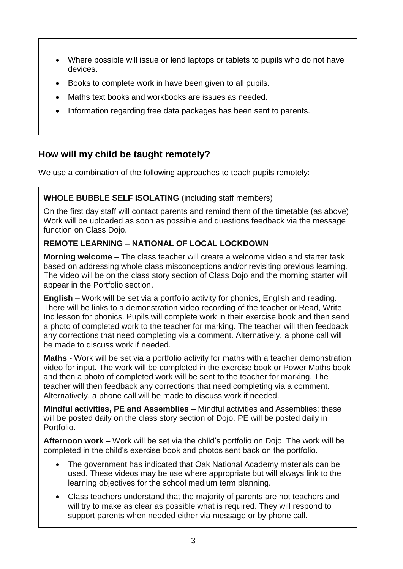- Where possible will issue or lend laptops or tablets to pupils who do not have devices.
- Books to complete work in have been given to all pupils.
- Maths text books and workbooks are issues as needed.
- Information regarding free data packages has been sent to parents.

## **How will my child be taught remotely?**

We use a combination of the following approaches to teach pupils remotely:

#### **WHOLE BUBBLE SELF ISOLATING** (including staff members)

On the first day staff will contact parents and remind them of the timetable (as above) Work will be uploaded as soon as possible and questions feedback via the message function on Class Dojo.

#### **REMOTE LEARNING – NATIONAL OF LOCAL LOCKDOWN**

**Morning welcome –** The class teacher will create a welcome video and starter task based on addressing whole class misconceptions and/or revisiting previous learning. The video will be on the class story section of Class Dojo and the morning starter will appear in the Portfolio section.

**English –** Work will be set via a portfolio activity for phonics, English and reading. There will be links to a demonstration video recording of the teacher or Read, Write Inc lesson for phonics. Pupils will complete work in their exercise book and then send a photo of completed work to the teacher for marking. The teacher will then feedback any corrections that need completing via a comment. Alternatively, a phone call will be made to discuss work if needed.

**Maths -** Work will be set via a portfolio activity for maths with a teacher demonstration video for input. The work will be completed in the exercise book or Power Maths book and then a photo of completed work will be sent to the teacher for marking. The teacher will then feedback any corrections that need completing via a comment. Alternatively, a phone call will be made to discuss work if needed.

**Mindful activities, PE and Assemblies –** Mindful activities and Assemblies: these will be posted daily on the class story section of Dojo. PE will be posted daily in Portfolio.

**Afternoon work –** Work will be set via the child's portfolio on Dojo. The work will be completed in the child's exercise book and photos sent back on the portfolio.

- The government has indicated that Oak National Academy materials can be used. These videos may be use where appropriate but will always link to the learning objectives for the school medium term planning.
- Class teachers understand that the majority of parents are not teachers and will try to make as clear as possible what is required. They will respond to support parents when needed either via message or by phone call.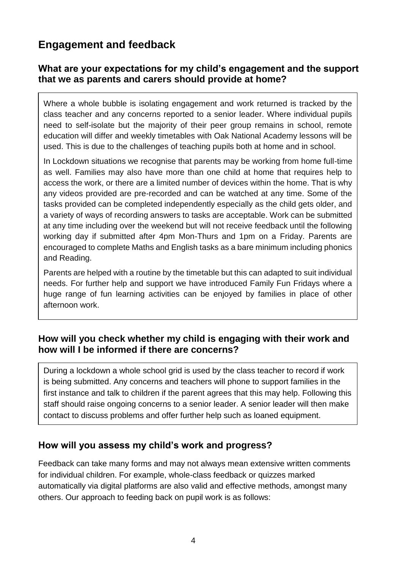# **Engagement and feedback**

## **What are your expectations for my child's engagement and the support that we as parents and carers should provide at home?**

Where a whole bubble is isolating engagement and work returned is tracked by the class teacher and any concerns reported to a senior leader. Where individual pupils need to self-isolate but the majority of their peer group remains in school, remote education will differ and weekly timetables with Oak National Academy lessons will be used. This is due to the challenges of teaching pupils both at home and in school.

In Lockdown situations we recognise that parents may be working from home full-time as well. Families may also have more than one child at home that requires help to access the work, or there are a limited number of devices within the home. That is why any videos provided are pre-recorded and can be watched at any time. Some of the tasks provided can be completed independently especially as the child gets older, and a variety of ways of recording answers to tasks are acceptable. Work can be submitted at any time including over the weekend but will not receive feedback until the following working day if submitted after 4pm Mon-Thurs and 1pm on a Friday. Parents are encouraged to complete Maths and English tasks as a bare minimum including phonics and Reading.

Parents are helped with a routine by the timetable but this can adapted to suit individual needs. For further help and support we have introduced Family Fun Fridays where a huge range of fun learning activities can be enjoyed by families in place of other afternoon work.

## **How will you check whether my child is engaging with their work and how will I be informed if there are concerns?**

During a lockdown a whole school grid is used by the class teacher to record if work is being submitted. Any concerns and teachers will phone to support families in the first instance and talk to children if the parent agrees that this may help. Following this staff should raise ongoing concerns to a senior leader. A senior leader will then make contact to discuss problems and offer further help such as loaned equipment.

## **How will you assess my child's work and progress?**

Feedback can take many forms and may not always mean extensive written comments for individual children. For example, whole-class feedback or quizzes marked automatically via digital platforms are also valid and effective methods, amongst many others. Our approach to feeding back on pupil work is as follows: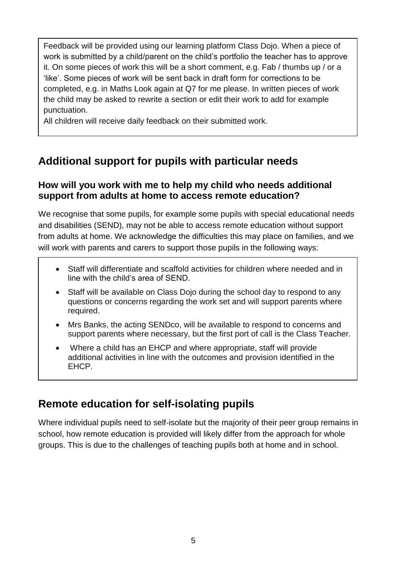Feedback will be provided using our learning platform Class Dojo. When a piece of work is submitted by a child/parent on the child's portfolio the teacher has to approve it. On some pieces of work this will be a short comment, e.g. Fab / thumbs up / or a 'like'. Some pieces of work will be sent back in draft form for corrections to be completed, e.g. in Maths Look again at Q7 for me please. In written pieces of work the child may be asked to rewrite a section or edit their work to add for example punctuation.

All children will receive daily feedback on their submitted work.

# **Additional support for pupils with particular needs**

## **How will you work with me to help my child who needs additional support from adults at home to access remote education?**

We recognise that some pupils, for example some pupils with special educational needs and disabilities (SEND), may not be able to access remote education without support from adults at home. We acknowledge the difficulties this may place on families, and we will work with parents and carers to support those pupils in the following ways:

- Staff will differentiate and scaffold activities for children where needed and in line with the child's area of SEND.
- Staff will be available on Class Dojo during the school day to respond to any questions or concerns regarding the work set and will support parents where required.
- Mrs Banks, the acting SENDco, will be available to respond to concerns and support parents where necessary, but the first port of call is the Class Teacher.
- Where a child has an EHCP and where appropriate, staff will provide additional activities in line with the outcomes and provision identified in the EHCP.

# **Remote education for self-isolating pupils**

Where individual pupils need to self-isolate but the majority of their peer group remains in school, how remote education is provided will likely differ from the approach for whole groups. This is due to the challenges of teaching pupils both at home and in school.